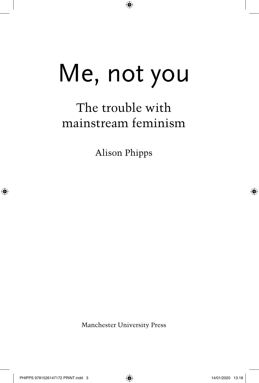⊕

The trouble with mainstream feminism

Alison Phipps

Manchester University Press

◈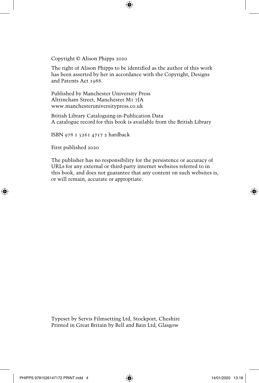Copyright © Alison Phipps 2020

The right of Alison Phipps to be identifed as the author of this work has been asserted by her in accordance with the Copyright, Designs and Patents Act 1988.

⊕

Published by Manchester University Press Altrincham Street, Manchester M1 7JA www.manchesteruniversitypress.co.uk

British Library Cataloguing-in-Publication Data A catalogue record for this book is available from the British Library

ISBN 978 1 5261 4717 2 hardback

First published 2020

◈

The publisher has no responsibility for the persistence or accuracy of URLs for any external or third-party internet websites referred to in this book, and does not guarantee that any content on such websites is, or will remain, accurate or appropriate.

Typeset by Servis Filmsetting Ltd, Stockport, Cheshire Printed in Great Britain by Bell and Bain Ltd, Glasgow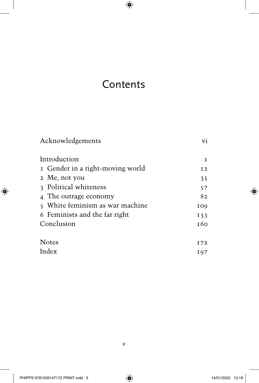# **Contents**

 $\bigoplus$ 

| Acknowledgements                 | V1         |
|----------------------------------|------------|
| Introduction                     | Т          |
| I Gender in a right-moving world | Ι2         |
| 2 Me, not you                    | 35         |
| 3 Political whiteness            | 57         |
| 4 The outrage economy            | 82         |
| 5 White feminism as war machine  | <b>IO9</b> |
| 6 Feminists and the far right    | 133        |
| Conclusion                       | 160        |
| <b>Notes</b>                     | I72        |
| Index                            | 197        |

 $\bigoplus$ 

 $\bigoplus$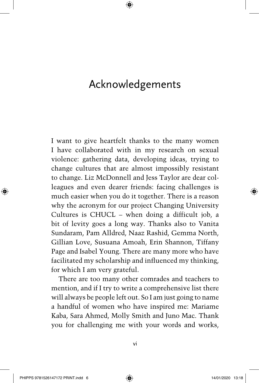# Acknowledgements

⊕

I want to give heartfelt thanks to the many women I have collaborated with in my research on sexual violence: gathering data, developing ideas, trying to change cultures that are almost impossibly resistant to change. Liz McDonnell and Jess Taylor are dear colleagues and even dearer friends: facing challenges is much easier when you do it together. There is a reason why the acronym for our project Changing University Cultures is CHUCL – when doing a difficult job, a bit of levity goes a long way. Thanks also to Vanita Sundaram, Pam Alldred, Naaz Rashid, Gemma North, Gillian Love, Susuana Amoah, Erin Shannon, Tiffany Page and Isabel Young. There are many more who have facilitated my scholarship and infuenced my thinking, for which I am very grateful.

There are too many other comrades and teachers to mention, and if I try to write a comprehensive list there will always be people left out. So I am just going to name a handful of women who have inspired me: Mariame Kaba, Sara Ahmed, Molly Smith and Juno Mac. Thank you for challenging me with your words and works,

vi

⊕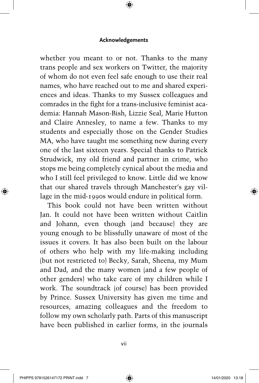#### **Acknowledgements**

⊕

whether you meant to or not. Thanks to the many trans people and sex workers on Twitter, the majority of whom do not even feel safe enough to use their real names, who have reached out to me and shared experiences and ideas. Thanks to my Sussex colleagues and comrades in the fght for a trans-inclusive feminist academia: Hannah Mason-Bish, Lizzie Seal, Marie Hutton and Claire Annesley, to name a few. Thanks to my students and especially those on the Gender Studies MA, who have taught me something new during every one of the last sixteen years. Special thanks to Patrick Strudwick, my old friend and partner in crime, who stops me being completely cynical about the media and who I still feel privileged to know. Little did we know that our shared travels through Manchester's gay village in the mid-1990s would endure in political form.

This book could not have been written without Jan. It could not have been written without Caitlin and Johann, even though (and because) they are young enough to be blissfully unaware of most of the issues it covers. It has also been built on the labour of others who help with my life-making including (but not restricted to) Becky, Sarah, Sheena, my Mum and Dad, and the many women (and a few people of other genders) who take care of my children while I work. The soundtrack (of course) has been provided by Prince. Sussex University has given me time and resources, amazing colleagues and the freedom to follow my own scholarly path. Parts of this manuscript have been published in earlier forms, in the journals

vii

⊕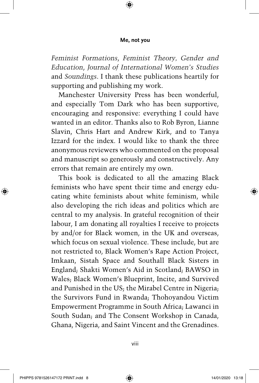⊕

*Feminist Formations*, *Feminist Theory, Gender and Education*, *Journal of International Women's Studies* and *Soundings*. I thank these publications heartily for supporting and publishing my work.

Manchester University Press has been wonderful, and especially Tom Dark who has been supportive, encouraging and responsive: everything I could have wanted in an editor. Thanks also to Rob Byron, Lianne Slavin, Chris Hart and Andrew Kirk, and to Tanya Izzard for the index. I would like to thank the three anonymous reviewers who commented on the proposal and manuscript so generously and constructively. Any errors that remain are entirely my own.

This book is dedicated to all the amazing Black feminists who have spent their time and energy educating white feminists about white feminism, while also developing the rich ideas and politics which are central to my analysis. In grateful recognition of their labour, I am donating all royalties I receive to projects by and/or for Black women, in the UK and overseas, which focus on sexual violence. These include, but are not restricted to, Black Women's Rape Action Project, Imkaan, Sistah Space and Southall Black Sisters in England; Shakti Women's Aid in Scotland; BAWSO in Wales; Black Women's Blueprint, Incite, and Survived and Punished in the US; the Mirabel Centre in Nigeria; the Survivors Fund in Rwanda; Thohoyandou Victim Empowerment Programme in South Africa; Lawanci in South Sudan; and The Consent Workshop in Canada, Ghana, Nigeria, and Saint Vincent and the Grenadines.

viii

⊕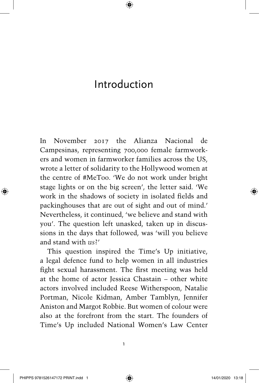# Introduction

⊕

In November 2017 the Alianza Nacional de Campesinas, representing 700,000 female farmworkers and women in farmworker families across the US, wrote a letter of solidarity to the Hollywood women at the centre of #MeToo. 'We do not work under bright stage lights or on the big screen', the letter said. 'We work in the shadows of society in isolated felds and packinghouses that are out of sight and out of mind.' Nevertheless, it continued, 'we believe and stand with you'. The question left unasked, taken up in discussions in the days that followed, was 'will you believe and stand with *us*?'

This question inspired the Time's Up initiative, a legal defence fund to help women in all industries fght sexual harassment. The frst meeting was held at the home of actor Jessica Chastain – other white actors involved included Reese Witherspoon, Natalie Portman, Nicole Kidman, Amber Tamblyn, Jennifer Aniston and Margot Robbie. But women of colour were also at the forefront from the start. The founders of Time's Up included National Women's Law Center

1

PHIPPS 9781526147172 PRINT.indd 1 14/01/2020 13:18

⊕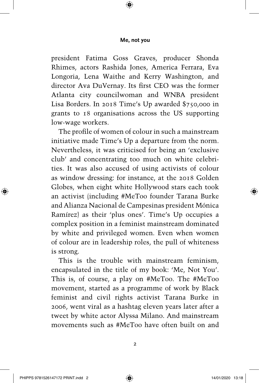⊕

president Fatima Goss Graves, producer Shonda Rhimes, actors Rashida Jones, America Ferrara, Eva Longoria, Lena Waithe and Kerry Washington, and director Ava DuVernay. Its frst CEO was the former Atlanta city councilwoman and WNBA president Lisa Borders. In 2018 Time's Up awarded \$750,000 in grants to 18 organisations across the US supporting low-wage workers.

The profle of women of colour in such a mainstream initiative made Time's Up a departure from the norm. Nevertheless, it was criticised for being an 'exclusive club' and concentrating too much on white celebrities. It was also accused of using activists of colour as window dressing: for instance, at the 2018 Golden Globes, when eight white Hollywood stars each took an activist (including #MeToo founder Tarana Burke and Alianza Nacional de Campesinas president Mónica Ramírez) as their 'plus ones'. Time's Up occupies a complex position in a feminist mainstream dominated by white and privileged women. Even when women of colour are in leadership roles, the pull of whiteness is strong.

This is the trouble with mainstream feminism, encapsulated in the title of my book: 'Me, Not You'. This is, of course, a play on #MeToo. The #MeToo movement, started as a programme of work by Black feminist and civil rights activist Tarana Burke in 2006, went viral as a hashtag eleven years later after a tweet by white actor Alyssa Milano. And mainstream movements such as #MeToo have often built on and

2

⊕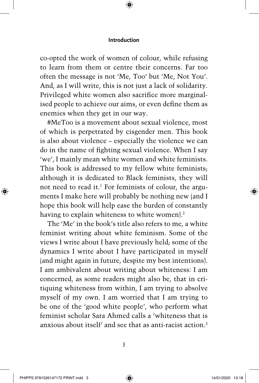#### **Introduction**

⊕

co-opted the work of women of colour, while refusing to learn from them or centre their concerns. Far too often the message is not 'Me, Too' but 'Me, Not You'. And, as I will write, this is not just a lack of solidarity. Privileged white women also sacrifce more marginalised people to achieve our aims, or even defne them as enemies when they get in our way.

#MeToo is a movement about sexual violence, most of which is perpetrated by cisgender men. This book is also about violence – especially the violence we can do in the name of fghting sexual violence. When I say 'we', I mainly mean white women and white feminists. This book is addressed to my fellow white feminists; although it is dedicated to Black feminists, they will not need to read it.1 For feminists of colour, the arguments I make here will probably be nothing new (and I hope this book will help ease the burden of constantly having to explain whiteness to white women).<sup>2</sup>

The 'Me' in the book's title also refers to me, a white feminist writing about white feminism. Some of the views I write about I have previously held; some of the dynamics I write about I have participated in myself (and might again in future, despite my best intentions). I am ambivalent about writing about whiteness: I am concerned, as some readers might also be, that in critiquing whiteness from within, I am trying to absolve myself of my own. I am worried that I am trying to be one of the 'good white people', who perform what feminist scholar Sara Ahmed calls a 'whiteness that is anxious about itself' and see that as anti-racist action.3

3

⊕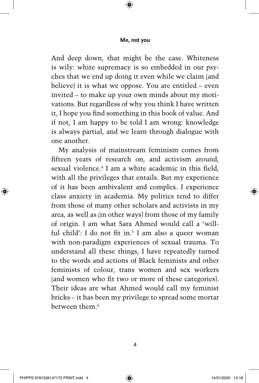⊕

And deep down, that might be the case. Whiteness is wily: white supremacy is so embedded in our psyches that we end up doing it even while we claim (and believe) it is what we oppose. You are entitled – even invited – to make up your own minds about my motivations. But regardless of why you think I have written it, I hope you fnd something in this book of value. And if not, I am happy to be told I am wrong: knowledge is always partial, and we learn through dialogue with one another.

My analysis of mainstream feminism comes from ffteen years of research on, and activism around, sexual violence.4 I am a white academic in this feld, with all the privileges that entails. But my experience of it has been ambivalent and complex. I experience class anxiety in academia. My politics tend to differ from those of many other scholars and activists in my area, as well as (in other ways) from those of my family of origin. I am what Sara Ahmed would call a 'willful child': I do not fit in.<sup>5</sup> I am also a queer woman with non-paradigm experiences of sexual trauma. To understand all these things, I have repeatedly turned to the words and actions of Black feminists and other feminists of colour, trans women and sex workers (and women who ft two or more of these categories). Their ideas are what Ahmed would call my feminist bricks – it has been my privilege to spread some mortar between them.<sup>6</sup>

4

⊕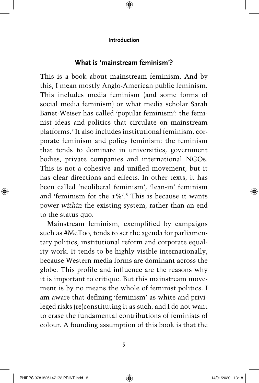#### **Introduction**

⊕

### **What is 'mainstream feminism'?**

This is a book about mainstream feminism. And by this, I mean mostly Anglo-American public feminism. This includes media feminism (and some forms of social media feminism) or what media scholar Sarah Banet-Weiser has called 'popular feminism': the feminist ideas and politics that circulate on mainstream platforms.7 It also includes institutional feminism, corporate feminism and policy feminism: the feminism that tends to dominate in universities, government bodies, private companies and international NGOs. This is not a cohesive and unifed movement, but it has clear directions and effects. In other texts, it has been called 'neoliberal feminism', 'lean-in' feminism and 'feminism for the 1%'.8 This is because it wants power *within* the existing system, rather than an end to the status quo.

Mainstream feminism, exemplifed by campaigns such as #MeToo, tends to set the agenda for parliamentary politics, institutional reform and corporate equality work. It tends to be highly visible internationally, because Western media forms are dominant across the globe. This profle and infuence are the reasons why it is important to critique. But this mainstream movement is by no means the whole of feminist politics. I am aware that defning 'feminism' as white and privileged risks (re)constituting it as such, and I do not want to erase the fundamental contributions of feminists of colour. A founding assumption of this book is that the

5

⊕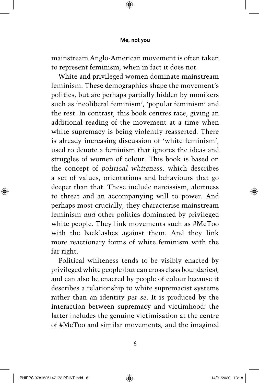⊕

mainstream Anglo-American movement is often taken to represent feminism, when in fact it does not.

White and privileged women dominate mainstream feminism. These demographics shape the movement's politics, but are perhaps partially hidden by monikers such as 'neoliberal feminism', 'popular feminism' and the rest. In contrast, this book centres race, giving an additional reading of the movement at a time when white supremacy is being violently reasserted. There is already increasing discussion of 'white feminism', used to denote a feminism that ignores the ideas and struggles of women of colour. This book is based on the concept of *political whiteness*, which describes a set of values, orientations and behaviours that go deeper than that. These include narcissism, alertness to threat and an accompanying will to power. And perhaps most crucially, they characterise mainstream feminism *and* other politics dominated by privileged white people. They link movements such as #MeToo with the backlashes against them. And they link more reactionary forms of white feminism with the far right.

Political whiteness tends to be visibly enacted by privileged white people (but can cross class boundaries), and can also be enacted by people of colour because it describes a relationship to white supremacist systems rather than an identity *per se*. It is produced by the interaction between supremacy and victimhood: the latter includes the genuine victimisation at the centre of #MeToo and similar movements, and the imagined

6

⊕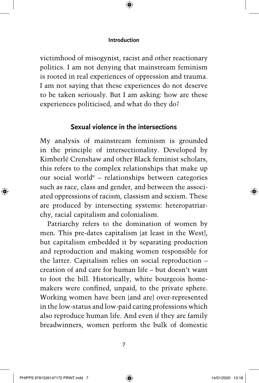#### **Introduction**

⊕

victimhood of misogynist, racist and other reactionary politics. I am not denying that mainstream feminism is rooted in real experiences of oppression and trauma. I am not saying that these experiences do not deserve to be taken seriously. But I am asking: how are these experiences politicised, and what do they do?

## **Sexual violence in the intersections**

My analysis of mainstream feminism is grounded in the principle of intersectionality. Developed by Kimberlé Crenshaw and other Black feminist scholars, this refers to the complex relationships that make up our social world<sup>9</sup> – relationships between categories such as race, class and gender, and between the associated oppressions of racism, classism and sexism. These are produced by intersecting systems: heteropatriarchy, racial capitalism and colonialism.

Patriarchy refers to the domination of women by men. This pre-dates capitalism (at least in the West), but capitalism embedded it by separating production and reproduction and making women responsible for the latter. Capitalism relies on social reproduction – creation of and care for human life – but doesn't want to foot the bill. Historically, white bourgeois homemakers were confned, unpaid, to the private sphere. Working women have been (and are) over-represented in the low-status and low-paid caring professions which also reproduce human life. And even if they are family breadwinners, women perform the bulk of domestic

7

⊕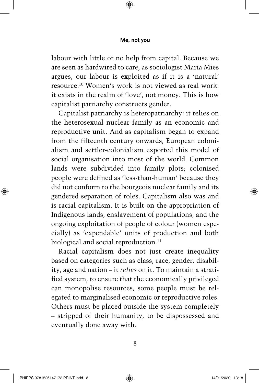⊕

labour with little or no help from capital. Because we are seen as hardwired to care, as sociologist Maria Mies argues, our labour is exploited as if it is a 'natural' resource.10 Women's work is not viewed as real work: it exists in the realm of 'love', not money. This is how capitalist patriarchy constructs gender.

Capitalist patriarchy is heteropatriarchy: it relies on the heterosexual nuclear family as an economic and reproductive unit. And as capitalism began to expand from the ffteenth century onwards, European colonialism and settler-colonialism exported this model of social organisation into most of the world. Common lands were subdivided into family plots; colonised people were defned as 'less-than-human' because they did not conform to the bourgeois nuclear family and its gendered separation of roles. Capitalism also was and is racial capitalism. It is built on the appropriation of Indigenous lands, enslavement of populations, and the ongoing exploitation of people of colour (women especially) as 'expendable' units of production and both biological and social reproduction.<sup>11</sup>

Racial capitalism does not just create inequality based on categories such as class, race, gender, disability, age and nation – it *relies* on it. To maintain a stratifed system, to ensure that the economically privileged can monopolise resources, some people must be relegated to marginalised economic or reproductive roles. Others must be placed outside the system completely – stripped of their humanity, to be dispossessed and eventually done away with.

8

⊕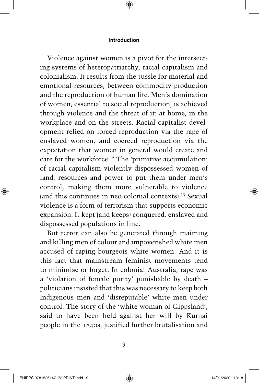#### **Introduction**

⊕

Violence against women is a pivot for the intersecting systems of heteropatriarchy, racial capitalism and colonialism. It results from the tussle for material and emotional resources, between commodity production and the reproduction of human life. Men's domination of women, essential to social reproduction, is achieved through violence and the threat of it: at home, in the workplace and on the streets. Racial capitalist development relied on forced reproduction via the rape of enslaved women, and coerced reproduction via the expectation that women in general would create and care for the workforce.12 The 'primitive accumulation' of racial capitalism violently dispossessed women of land, resources and power to put them under men's control, making them more vulnerable to violence (and this continues in neo-colonial contexts).13 Sexual violence is a form of terrorism that supports economic expansion. It kept (and keeps) conquered, enslaved and dispossessed populations in line.

But terror can also be generated through maiming and killing men of colour and impoverished white men accused of raping bourgeois white women. And it is this fact that mainstream feminist movements tend to minimise or forget. In colonial Australia, rape was a 'violation of female purity' punishable by death – politicians insisted that this was necessary to keep both Indigenous men and 'disreputable' white men under control. The story of the 'white woman of Gippsland', said to have been held against her will by Kurnai people in the 1840s, justifed further brutalisation and

9

⊕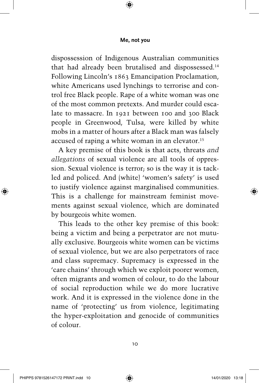⊕

dispossession of Indigenous Australian communities that had already been brutalised and dispossessed.14 Following Lincoln's 1863 Emancipation Proclamation, white Americans used lynchings to terrorise and control free Black people. Rape of a white woman was one of the most common pretexts. And murder could escalate to massacre. In 1921 between 100 and 300 Black people in Greenwood, Tulsa, were killed by white mobs in a matter of hours after a Black man was falsely accused of raping a white woman in an elevator.<sup>15</sup>

A key premise of this book is that acts, threats *and allegations* of sexual violence are all tools of oppression. Sexual violence is terror; so is the way it is tackled and policed. And (white) 'women's safety' is used to justify violence against marginalised communities. This is a challenge for mainstream feminist movements against sexual violence, which are dominated by bourgeois white women.

This leads to the other key premise of this book: being a victim and being a perpetrator are not mutually exclusive. Bourgeois white women can be victims of sexual violence, but we are also perpetrators of race and class supremacy. Supremacy is expressed in the 'care chains' through which we exploit poorer women, often migrants and women of colour, to do the labour of social reproduction while we do more lucrative work. And it is expressed in the violence done in the name of 'protecting' us from violence, legitimating the hyper-exploitation and genocide of communities of colour.

10

⊕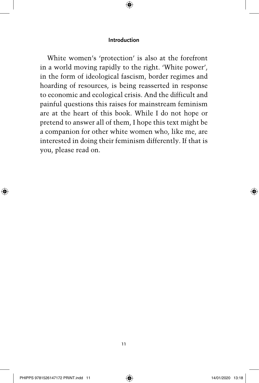#### **Introduction**

⊕

White women's 'protection' is also at the forefront in a world moving rapidly to the right. 'White power', in the form of ideological fascism, border regimes and hoarding of resources, is being reasserted in response to economic and ecological crisis. And the difficult and painful questions this raises for mainstream feminism are at the heart of this book. While I do not hope or pretend to answer all of them, I hope this text might be a companion for other white women who, like me, are interested in doing their feminism differently. If that is you, please read on.

⊕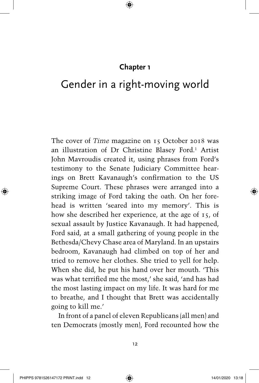## **Chapter 1**

⊕

# Gender in a right-moving world

The cover of *Time* magazine on 15 October 2018 was an illustration of Dr Christine Blasey Ford.<sup>1</sup> Artist John Mavroudis created it, using phrases from Ford's testimony to the Senate Judiciary Committee hearings on Brett Kavanaugh's confrmation to the US Supreme Court. These phrases were arranged into a striking image of Ford taking the oath. On her forehead is written 'seared into my memory'. This is how she described her experience, at the age of 15, of sexual assault by Justice Kavanaugh. It had happened, Ford said, at a small gathering of young people in the Bethesda/Chevy Chase area of Maryland. In an upstairs bedroom, Kavanaugh had climbed on top of her and tried to remove her clothes. She tried to yell for help. When she did, he put his hand over her mouth. 'This was what terrifed me the most,' she said, 'and has had the most lasting impact on my life. It was hard for me to breathe, and I thought that Brett was accidentally going to kill me.'

In front of a panel of eleven Republicans (all men) and ten Democrats (mostly men), Ford recounted how the

12

⊕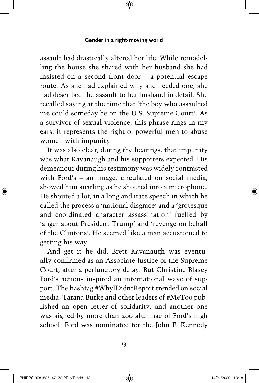⊕

assault had drastically altered her life. While remodelling the house she shared with her husband she had insisted on a second front door – a potential escape route. As she had explained why she needed one, she had described the assault to her husband in detail. She recalled saying at the time that 'the boy who assaulted me could someday be on the U.S. Supreme Court'. As a survivor of sexual violence, this phrase rings in my ears: it represents the right of powerful men to abuse women with impunity.

It was also clear, during the hearings, that impunity was what Kavanaugh and his supporters expected. His demeanour during his testimony was widely contrasted with Ford's – an image, circulated on social media, showed him snarling as he shouted into a microphone. He shouted a lot, in a long and irate speech in which he called the process a 'national disgrace' and a 'grotesque and coordinated character assassination' fuelled by 'anger about President Trump' and 'revenge on behalf of the Clintons'. He seemed like a man accustomed to getting his way.

And get it he did. Brett Kavanaugh was eventually confrmed as an Associate Justice of the Supreme Court, after a perfunctory delay. But Christine Blasey Ford's actions inspired an international wave of support. The hashtag #WhyIDidntReport trended on social media. Tarana Burke and other leaders of #MeToo published an open letter of solidarity, and another one was signed by more than 200 alumnae of Ford's high school. Ford was nominated for the John F. Kennedy

13

⊕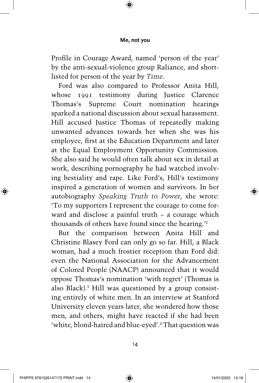⊕

Profle in Courage Award, named 'person of the year' by the anti-sexual-violence group Raliance, and shortlisted for person of the year by *Time*.

Ford was also compared to Professor Anita Hill, whose 1991 testimony during Justice Clarence Thomas's Supreme Court nomination hearings sparked a national discussion about sexual harassment. Hill accused Justice Thomas of repeatedly making unwanted advances towards her when she was his employee, frst at the Education Department and later at the Equal Employment Opportunity Commission. She also said he would often talk about sex in detail at work, describing pornography he had watched involving bestiality and rape. Like Ford's, Hill's testimony inspired a generation of women and survivors. In her autobiography *Speaking Truth to Power*, she wrote: 'To my supporters I represent the courage to come forward and disclose a painful truth – a courage which thousands of others have found since the hearing.'2

But the comparison between Anita Hill and Christine Blasey Ford can only go so far. Hill, a Black woman, had a much frostier reception than Ford did: even the National Association for the Advancement of Colored People (NAACP) announced that it would oppose Thomas's nomination 'with regret' (Thomas is also Black).3 Hill was questioned by a group consisting entirely of white men. In an interview at Stanford University eleven years later, she wondered how those men, and others, might have reacted if she had been 'white, blond-haired and blue-eyed'.4 That question was

⊕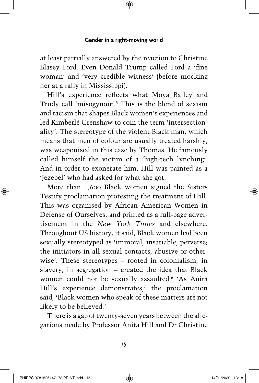⊕

at least partially answered by the reaction to Christine Blasey Ford. Even Donald Trump called Ford a 'fne woman' and 'very credible witness' (before mocking her at a rally in Mississippi).

Hill's experience refects what Moya Bailey and Trudy call 'misogynoir'.5 This is the blend of sexism and racism that shapes Black women's experiences and led Kimberlé Crenshaw to coin the term 'intersectionality'. The stereotype of the violent Black man, which means that men of colour are usually treated harshly, was weaponised in this case by Thomas. He famously called himself the victim of a 'high-tech lynching'. And in order to exonerate him, Hill was painted as a 'Jezebel' who had asked for what she got.

More than 1,600 Black women signed the Sisters Testify proclamation protesting the treatment of Hill. This was organised by African American Women in Defense of Ourselves, and printed as a full-page advertisement in the *New York Times* and elsewhere. Throughout US history, it said, Black women had been sexually stereotyped as 'immoral, insatiable, perverse; the initiators in all sexual contacts, abusive or otherwise'. These stereotypes – rooted in colonialism, in slavery, in segregation – created the idea that Black women could not be sexually assaulted.<sup>6</sup> 'As Anita Hill's experience demonstrates,' the proclamation said, 'Black women who speak of these matters are not likely to be believed.'

There is a gap of twenty-seven years between the allegations made by Professor Anita Hill and Dr Christine

15

⊕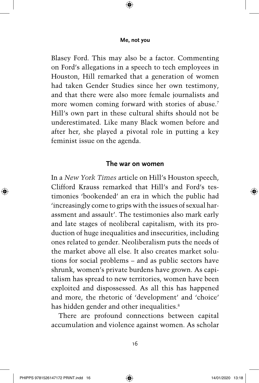⊕

Blasey Ford. This may also be a factor. Commenting on Ford's allegations in a speech to tech employees in Houston, Hill remarked that a generation of women had taken Gender Studies since her own testimony, and that there were also more female journalists and more women coming forward with stories of abuse.<sup>7</sup> Hill's own part in these cultural shifts should not be underestimated. Like many Black women before and after her, she played a pivotal role in putting a key feminist issue on the agenda.

#### **The war on women**

In a *New York Times* article on Hill's Houston speech, Clifford Krauss remarked that Hill's and Ford's testimonies 'bookended' an era in which the public had 'increasingly come to grips with the issues of sexual harassment and assault'. The testimonies also mark early and late stages of neoliberal capitalism, with its production of huge inequalities and insecurities, including ones related to gender. Neoliberalism puts the needs of the market above all else. It also creates market solutions for social problems – and as public sectors have shrunk, women's private burdens have grown. As capitalism has spread to new territories, women have been exploited and dispossessed. As all this has happened and more, the rhetoric of 'development' and 'choice' has hidden gender and other inequalities.<sup>8</sup>

There are profound connections between capital accumulation and violence against women. As scholar

⊕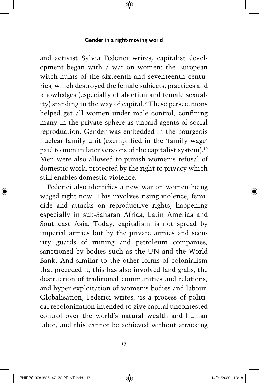⊕

and activist Sylvia Federici writes, capitalist development began with a war on women: the European witch-hunts of the sixteenth and seventeenth centuries, which destroyed the female subjects, practices and knowledges (especially of abortion and female sexuality) standing in the way of capital.<sup>9</sup> These persecutions helped get all women under male control, confning many in the private sphere as unpaid agents of social reproduction. Gender was embedded in the bourgeois nuclear family unit (exemplifed in the 'family wage' paid to men in later versions of the capitalist system).10 Men were also allowed to punish women's refusal of domestic work, protected by the right to privacy which still enables domestic violence.

Federici also identifes a new war on women being waged right now. This involves rising violence, femicide and attacks on reproductive rights, happening especially in sub-Saharan Africa, Latin America and Southeast Asia. Today, capitalism is not spread by imperial armies but by the private armies and security guards of mining and petroleum companies, sanctioned by bodies such as the UN and the World Bank. And similar to the other forms of colonialism that preceded it, this has also involved land grabs, the destruction of traditional communities and relations, and hyper-exploitation of women's bodies and labour. Globalisation, Federici writes, 'is a process of political recolonization intended to give capital uncontested control over the world's natural wealth and human labor, and this cannot be achieved without attacking

17

⊕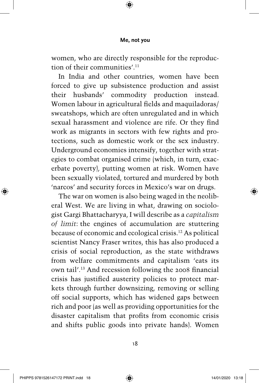⊕

women, who are directly responsible for the reproduction of their communities'.<sup>11</sup>

In India and other countries, women have been forced to give up subsistence production and assist their husbands' commodity production instead. Women labour in agricultural felds and maquiladoras/ sweatshops, which are often unregulated and in which sexual harassment and violence are rife. Or they fnd work as migrants in sectors with few rights and protections, such as domestic work or the sex industry. Underground economies intensify, together with strategies to combat organised crime (which, in turn, exacerbate poverty), putting women at risk. Women have been sexually violated, tortured and murdered by both 'narcos' and security forces in Mexico's war on drugs.

The war on women is also being waged in the neoliberal West. We are living in what, drawing on sociologist Gargi Bhattacharyya, I will describe as a *capitalism of limit*: the engines of accumulation are stuttering because of economic and ecological crisis.12 As political scientist Nancy Fraser writes, this has also produced a crisis of social reproduction, as the state withdraws from welfare commitments and capitalism 'eats its own tail'.13 And recession following the 2008 fnancial crisis has justifed austerity policies to protect markets through further downsizing, removing or selling off social supports, which has widened gaps between rich and poor (as well as providing opportunities for the disaster capitalism that profts from economic crisis and shifts public goods into private hands). Women

18

⊕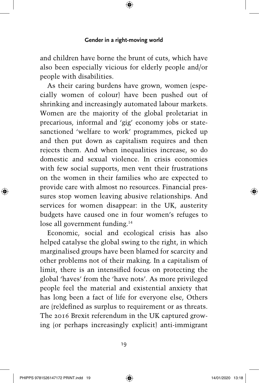⊕

and children have borne the brunt of cuts, which have also been especially vicious for elderly people and/or people with disabilities.

As their caring burdens have grown, women (especially women of colour) have been pushed out of shrinking and increasingly automated labour markets. Women are the majority of the global proletariat in precarious, informal and 'gig' economy jobs or statesanctioned 'welfare to work' programmes, picked up and then put down as capitalism requires and then rejects them. And when inequalities increase, so do domestic and sexual violence. In crisis economies with few social supports, men vent their frustrations on the women in their families who are expected to provide care with almost no resources. Financial pressures stop women leaving abusive relationships. And services for women disappear: in the UK, austerity budgets have caused one in four women's refuges to lose all government funding.<sup>14</sup>

Economic, social and ecological crisis has also helped catalyse the global swing to the right, in which marginalised groups have been blamed for scarcity and other problems not of their making. In a capitalism of limit, there is an intensifed focus on protecting the global 'haves' from the 'have nots'. As more privileged people feel the material and existential anxiety that has long been a fact of life for everyone else, Others are (re)defned as surplus to requirement or as threats. The 2016 Brexit referendum in the UK captured growing (or perhaps increasingly explicit) anti-immigrant

19

⊕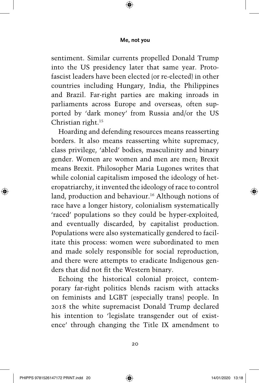⊕

sentiment. Similar currents propelled Donald Trump into the US presidency later that same year. Protofascist leaders have been elected (or re-elected) in other countries including Hungary, India, the Philippines and Brazil. Far-right parties are making inroads in parliaments across Europe and overseas, often supported by 'dark money' from Russia and/or the US Christian right.15

Hoarding and defending resources means reasserting borders. It also means reasserting white supremacy, class privilege, 'abled' bodies, masculinity and binary gender. Women are women and men are men; Brexit means Brexit. Philosopher Maria Lugones writes that while colonial capitalism imposed the ideology of heteropatriarchy, it invented the ideology of race to control land, production and behaviour.<sup>16</sup> Although notions of race have a longer history, colonialism systematically 'raced' populations so they could be hyper-exploited, and eventually discarded, by capitalist production. Populations were also systematically gendered to facilitate this process: women were subordinated to men and made solely responsible for social reproduction, and there were attempts to eradicate Indigenous genders that did not ft the Western binary.

Echoing the historical colonial project, contemporary far-right politics blends racism with attacks on feminists and LGBT (especially trans) people. In 2018 the white supremacist Donald Trump declared his intention to 'legislate transgender out of existence' through changing the Title IX amendment to

20

⊕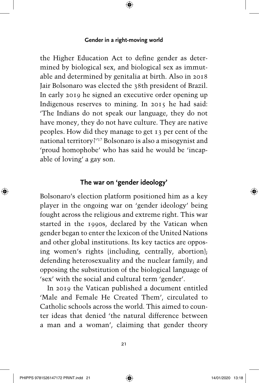⊕

the Higher Education Act to defne gender as determined by biological sex, and biological sex as immutable and determined by genitalia at birth. Also in 2018 Jair Bolsonaro was elected the 38th president of Brazil. In early 2019 he signed an executive order opening up Indigenous reserves to mining. In 2015 he had said: 'The Indians do not speak our language, they do not have money, they do not have culture. They are native peoples. How did they manage to get 13 per cent of the national territory?'17 Bolsonaro is also a misogynist and 'proud homophobe' who has said he would be 'incapable of loving' a gay son.

# **The war on 'gender ideology'**

Bolsonaro's election platform positioned him as a key player in the ongoing war on 'gender ideology' being fought across the religious and extreme right. This war started in the 1990s, declared by the Vatican when gender began to enter the lexicon of the United Nations and other global institutions. Its key tactics are opposing women's rights (including, centrally, abortion); defending heterosexuality and the nuclear family; and opposing the substitution of the biological language of 'sex' with the social and cultural term 'gender'.

In 2019 the Vatican published a document entitled 'Male and Female He Created Them', circulated to Catholic schools across the world. This aimed to counter ideas that denied 'the natural difference between a man and a woman', claiming that gender theory

21

⊕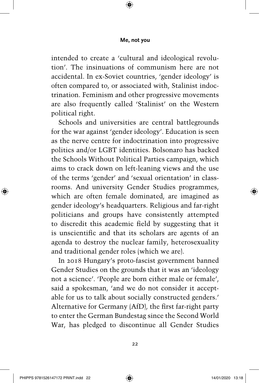⊕

intended to create a 'cultural and ideological revolution'. The insinuations of communism here are not accidental. In ex-Soviet countries, 'gender ideology' is often compared to, or associated with, Stalinist indoctrination. Feminism and other progressive movements are also frequently called 'Stalinist' on the Western political right.

Schools and universities are central battlegrounds for the war against 'gender ideology'. Education is seen as the nerve centre for indoctrination into progressive politics and/or LGBT identities. Bolsonaro has backed the Schools Without Political Parties campaign, which aims to crack down on left-leaning views and the use of the terms 'gender' and 'sexual orientation' in classrooms. And university Gender Studies programmes, which are often female dominated, are imagined as gender ideology's headquarters. Religious and far-right politicians and groups have consistently attempted to discredit this academic feld by suggesting that it is unscientifc and that its scholars are agents of an agenda to destroy the nuclear family, heterosexuality and traditional gender roles (which we are).

In 2018 Hungary's proto-fascist government banned Gender Studies on the grounds that it was an 'ideology not a science'. 'People are born either male or female', said a spokesman, 'and we do not consider it acceptable for us to talk about socially constructed genders.' Alternative for Germany (AfD), the frst far-right party to enter the German Bundestag since the Second World War, has pledged to discontinue all Gender Studies

22

⊕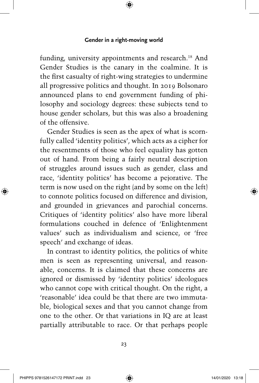⊕

funding, university appointments and research.<sup>18</sup> And Gender Studies is the canary in the coalmine. It is the frst casualty of right-wing strategies to undermine all progressive politics and thought. In 2019 Bolsonaro announced plans to end government funding of philosophy and sociology degrees: these subjects tend to house gender scholars, but this was also a broadening of the offensive.

Gender Studies is seen as the apex of what is scornfully called 'identity politics', which acts as a cipher for the resentments of those who feel equality has gotten out of hand. From being a fairly neutral description of struggles around issues such as gender, class and race, 'identity politics' has become a pejorative. The term is now used on the right (and by some on the left) to connote politics focused on difference and division, and grounded in grievances and parochial concerns. Critiques of 'identity politics' also have more liberal formulations couched in defence of 'Enlightenment values' such as individualism and science, or 'free speech' and exchange of ideas.

In contrast to identity politics, the politics of white men is seen as representing universal, and reasonable, concerns. It is claimed that these concerns are ignored or dismissed by 'identity politics' ideologues who cannot cope with critical thought. On the right, a 'reasonable' idea could be that there are two immutable, biological sexes and that you cannot change from one to the other. Or that variations in IQ are at least partially attributable to race. Or that perhaps people

23

⊕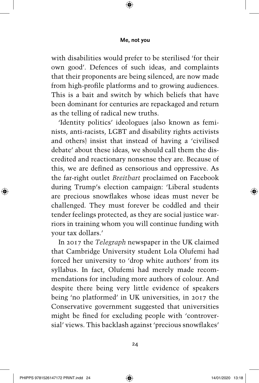⊕

with disabilities would prefer to be sterilised 'for their own good'. Defences of such ideas, and complaints that their proponents are being silenced, are now made from high-profle platforms and to growing audiences. This is a bait and switch by which beliefs that have been dominant for centuries are repackaged and return as the telling of radical new truths.

'Identity politics' ideologues (also known as feminists, anti-racists, LGBT and disability rights activists and others) insist that instead of having a 'civilised debate' about these ideas, we should call them the discredited and reactionary nonsense they are. Because of this, we are defned as censorious and oppressive. As the far-right outlet *Breitbart* proclaimed on Facebook during Trump's election campaign: 'Liberal students are precious snowfakes whose ideas must never be challenged. They must forever be coddled and their tender feelings protected, as they are social justice warriors in training whom you will continue funding with your tax dollars.'

In 2017 the *Telegraph* newspaper in the UK claimed that Cambridge University student Lola Olufemi had forced her university to 'drop white authors' from its syllabus. In fact, Olufemi had merely made recommendations for including more authors of colour. And despite there being very little evidence of speakers being 'no platformed' in UK universities, in 2017 the Conservative government suggested that universities might be fned for excluding people with 'controversial' views. This backlash against 'precious snowflakes'

⊕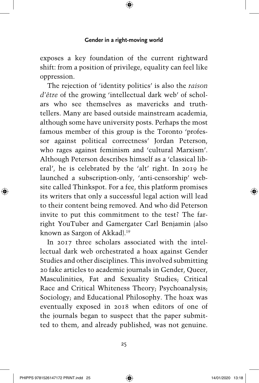⊕

exposes a key foundation of the current rightward shift: from a position of privilege, equality can feel like oppression.

The rejection of 'identity politics' is also the *raison d'être* of the growing 'intellectual dark web' of scholars who see themselves as mavericks and truthtellers. Many are based outside mainstream academia, although some have university posts. Perhaps the most famous member of this group is the Toronto 'professor against political correctness' Jordan Peterson, who rages against feminism and 'cultural Marxism'. Although Peterson describes himself as a 'classical liberal', he is celebrated by the 'alt' right. In 2019 he launched a subscription-only, 'anti-censorship' website called Thinkspot. For a fee, this platform promises its writers that only a successful legal action will lead to their content being removed. And who did Peterson invite to put this commitment to the test? The farright YouTuber and Gamergater Carl Benjamin (also known as Sargon of Akkad).19

In 2017 three scholars associated with the intellectual dark web orchestrated a hoax against Gender Studies and other disciplines. This involved submitting 20 fake articles to academic journals in Gender, Queer, Masculinities, Fat and Sexuality Studies; Critical Race and Critical Whiteness Theory; Psychoanalysis; Sociology; and Educational Philosophy. The hoax was eventually exposed in 2018 when editors of one of the journals began to suspect that the paper submitted to them, and already published, was not genuine.

25

⊕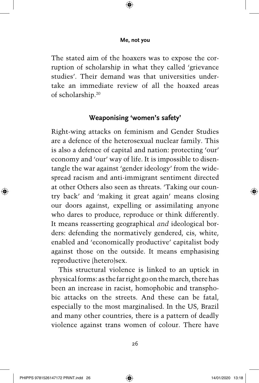⊕

The stated aim of the hoaxers was to expose the corruption of scholarship in what they called 'grievance studies'. Their demand was that universities undertake an immediate review of all the hoaxed areas of scholarship.20

## **Weaponising 'women's safety'**

Right-wing attacks on feminism and Gender Studies are a defence of the heterosexual nuclear family. This is also a defence of capital and nation: protecting 'our' economy and 'our' way of life. It is impossible to disentangle the war against 'gender ideology' from the widespread racism and anti-immigrant sentiment directed at other Others also seen as threats. 'Taking our country back' and 'making it great again' means closing our doors against, expelling or assimilating anyone who dares to produce, reproduce or think differently. It means reasserting geographical *and* ideological borders: defending the normatively gendered, cis, white, enabled and 'economically productive' capitalist body against those on the outside. It means emphasising reproductive (hetero)sex.

This structural violence is linked to an uptick in physical forms: as the far right go on the march, there has been an increase in racist, homophobic and transphobic attacks on the streets. And these can be fatal, especially to the most marginalised. In the US, Brazil and many other countries, there is a pattern of deadly violence against trans women of colour. There have

26

⊕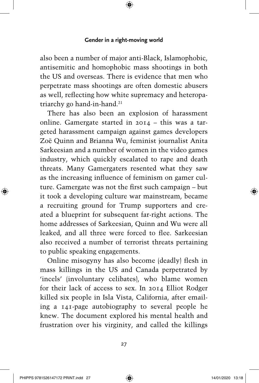⊕

also been a number of major anti-Black, Islamophobic, antisemitic and homophobic mass shootings in both the US and overseas. There is evidence that men who perpetrate mass shootings are often domestic abusers as well, refecting how white supremacy and heteropatriarchy go hand-in-hand.<sup>21</sup>

There has also been an explosion of harassment online. Gamergate started in 2014 – this was a targeted harassment campaign against games developers Zoë Quinn and Brianna Wu, feminist journalist Anita Sarkeesian and a number of women in the video games industry, which quickly escalated to rape and death threats. Many Gamergaters resented what they saw as the increasing infuence of feminism on gamer culture. Gamergate was not the frst such campaign – but it took a developing culture war mainstream, became a recruiting ground for Trump supporters and created a blueprint for subsequent far-right actions. The home addresses of Sarkeesian, Quinn and Wu were all leaked, and all three were forced to flee. Sarkeesian also received a number of terrorist threats pertaining to public speaking engagements.

Online misogyny has also become (deadly) fesh in mass killings in the US and Canada perpetrated by 'incels' (involuntary celibates), who blame women for their lack of access to sex. In 2014 Elliot Rodger killed six people in Isla Vista, California, after emailing a 141-page autobiography to several people he knew. The document explored his mental health and frustration over his virginity, and called the killings

27

⊕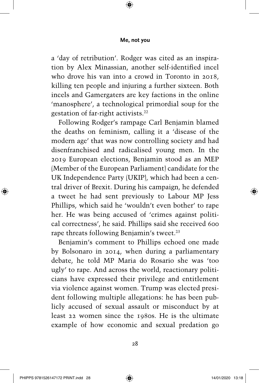⊕

a 'day of retribution'. Rodger was cited as an inspiration by Alex Minassian, another self-identifed incel who drove his van into a crowd in Toronto in 2018, killing ten people and injuring a further sixteen. Both incels and Gamergaters are key factions in the online 'manosphere', a technological primordial soup for the gestation of far-right activists.22

Following Rodger's rampage Carl Benjamin blamed the deaths on feminism, calling it a 'disease of the modern age' that was now controlling society and had disenfranchised and radicalised young men. In the 2019 European elections, Benjamin stood as an MEP (Member of the European Parliament) candidate for the UK Independence Party (UKIP), which had been a central driver of Brexit. During his campaign, he defended a tweet he had sent previously to Labour MP Jess Phillips, which said he 'wouldn't even bother' to rape her. He was being accused of 'crimes against political correctness', he said. Phillips said she received 600 rape threats following Benjamin's tweet.<sup>23</sup>

Benjamin's comment to Phillips echoed one made by Bolsonaro in 2014, when during a parliamentary debate, he told MP Maria do Rosario she was 'too ugly' to rape. And across the world, reactionary politicians have expressed their privilege and entitlement via violence against women. Trump was elected president following multiple allegations: he has been publicly accused of sexual assault or misconduct by at least 22 women since the 1980s. He is the ultimate example of how economic and sexual predation go

28

⊕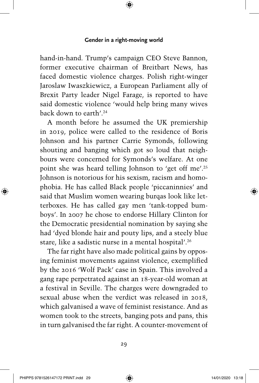⊕

hand-in-hand. Trump's campaign CEO Steve Bannon, former executive chairman of Breitbart News, has faced domestic violence charges. Polish right-winger Jaroslaw Iwaszkiewicz, a European Parliament ally of Brexit Party leader Nigel Farage, is reported to have said domestic violence 'would help bring many wives back down to earth'.<sup>24</sup>

A month before he assumed the UK premiership in 2019, police were called to the residence of Boris Johnson and his partner Carrie Symonds, following shouting and banging which got so loud that neighbours were concerned for Symonds's welfare. At one point she was heard telling Johnson to 'get off me'.25 Johnson is notorious for his sexism, racism and homophobia. He has called Black people 'piccaninnies' and said that Muslim women wearing burqas look like letterboxes. He has called gay men 'tank-topped bumboys'. In 2007 he chose to endorse Hillary Clinton for the Democratic presidential nomination by saying she had 'dyed blonde hair and pouty lips, and a steely blue stare, like a sadistic nurse in a mental hospital'.26

The far right have also made political gains by opposing feminist movements against violence, exemplifed by the 2016 'Wolf Pack' case in Spain. This involved a gang rape perpetrated against an 18-year-old woman at a festival in Seville. The charges were downgraded to sexual abuse when the verdict was released in 2018, which galvanised a wave of feminist resistance. And as women took to the streets, banging pots and pans, this in turn galvanised the far right. A counter-movement of

29

⊕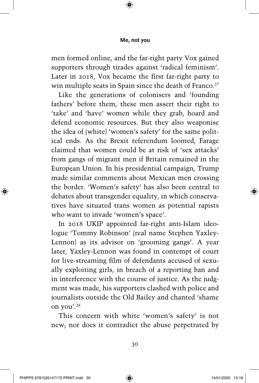⊕

men formed online, and the far-right party Vox gained supporters through tirades against 'radical feminism'. Later in 2018, Vox became the frst far-right party to win multiple seats in Spain since the death of Franco.<sup>27</sup>

Like the generations of colonisers and 'founding fathers' before them, these men assert their right to 'take' and 'have' women while they grab, hoard and defend economic resources. But they also weaponise the idea of (white) 'women's safety' for the same political ends. As the Brexit referendum loomed, Farage claimed that women could be at risk of 'sex attacks' from gangs of migrant men if Britain remained in the European Union. In his presidential campaign, Trump made similar comments about Mexican men crossing the border. 'Women's safety' has also been central to debates about transgender equality, in which conservatives have situated trans women as potential rapists who want to invade 'women's space'.

In 2018 UKIP appointed far-right anti-Islam ideologue 'Tommy Robinson' (real name Stephen Yaxley-Lennon) as its advisor on 'grooming gangs'. A year later, Yaxley-Lennon was found in contempt of court for live-streaming flm of defendants accused of sexually exploiting girls, in breach of a reporting ban and in interference with the course of justice. As the judgment was made, his supporters clashed with police and journalists outside the Old Bailey and chanted 'shame on you'.28

This concern with white 'women's safety' is not new; nor does it contradict the abuse perpetrated by

⊕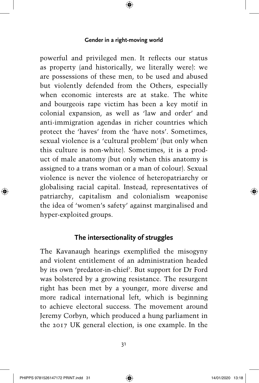⊕

powerful and privileged men. It refects our status as property (and historically, we literally were): we are possessions of these men, to be used and abused but violently defended from the Others, especially when economic interests are at stake. The white and bourgeois rape victim has been a key motif in colonial expansion, as well as 'law and order' and anti-immigration agendas in richer countries which protect the 'haves' from the 'have nots'. Sometimes, sexual violence is a 'cultural problem' (but only when this culture is non-white). Sometimes, it is a product of male anatomy (but only when this anatomy is assigned to a trans woman or a man of colour). Sexual violence is never the violence of heteropatriarchy or globalising racial capital. Instead, representatives of patriarchy, capitalism and colonialism weaponise the idea of 'women's safety' against marginalised and hyper-exploited groups.

## **The intersectionality of struggles**

The Kavanaugh hearings exemplifed the misogyny and violent entitlement of an administration headed by its own 'predator-in-chief'. But support for Dr Ford was bolstered by a growing resistance. The resurgent right has been met by a younger, more diverse and more radical international left, which is beginning to achieve electoral success. The movement around Jeremy Corbyn, which produced a hung parliament in the 2017 UK general election, is one example. In the

⊕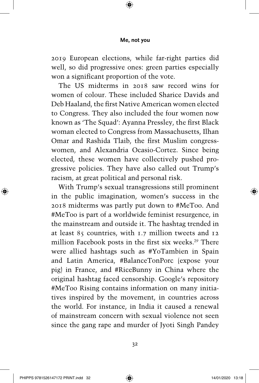⊕

2019 European elections, while far-right parties did well, so did progressive ones: green parties especially won a signifcant proportion of the vote.

The US midterms in 2018 saw record wins for women of colour. These included Sharice Davids and Deb Haaland, the frst Native American women elected to Congress. They also included the four women now known as 'The Squad': Ayanna Pressley, the frst Black woman elected to Congress from Massachusetts, Ilhan Omar and Rashida Tlaib, the frst Muslim congresswomen, and Alexandria Ocasio-Cortez. Since being elected, these women have collectively pushed progressive policies. They have also called out Trump's racism, at great political and personal risk.

With Trump's sexual transgressions still prominent in the public imagination, women's success in the 2018 midterms was partly put down to #MeToo. And #MeToo is part of a worldwide feminist resurgence, in the mainstream and outside it. The hashtag trended in at least 85 countries, with 1.7 million tweets and 12 million Facebook posts in the first six weeks.<sup>29</sup> There were allied hashtags such as #YoTambien in Spain and Latin America, #BalanceTonPorc (expose your pig) in France, and #RiceBunny in China where the original hashtag faced censorship. Google's repository #MeToo Rising contains information on many initiatives inspired by the movement, in countries across the world. For instance, in India it caused a renewal of mainstream concern with sexual violence not seen since the gang rape and murder of Jyoti Singh Pandey

⊕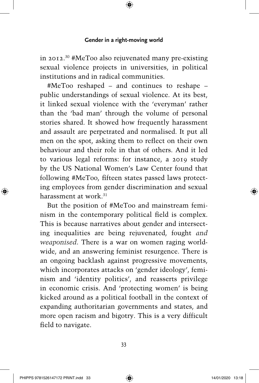⊕

in 2012. 30 #MeToo also rejuvenated many pre-existing sexual violence projects in universities, in political institutions and in radical communities.

#MeToo reshaped – and continues to reshape – public understandings of sexual violence. At its best, it linked sexual violence with the 'everyman' rather than the 'bad man' through the volume of personal stories shared. It showed how frequently harassment and assault are perpetrated and normalised. It put all men on the spot, asking them to refect on their own behaviour and their role in that of others. And it led to various legal reforms: for instance, a 2019 study by the US National Women's Law Center found that following #MeToo, ffteen states passed laws protecting employees from gender discrimination and sexual harassment at work<sup>31</sup>

But the position of #MeToo and mainstream feminism in the contemporary political feld is complex. This is because narratives about gender and intersecting inequalities are being rejuvenated, fought *and weaponised*. There is a war on women raging worldwide, and an answering feminist resurgence. There is an ongoing backlash against progressive movements, which incorporates attacks on 'gender ideology', feminism and 'identity politics', and reasserts privilege in economic crisis. And 'protecting women' is being kicked around as a political football in the context of expanding authoritarian governments and states, and more open racism and bigotry. This is a very difficult feld to navigate.

33

⊕